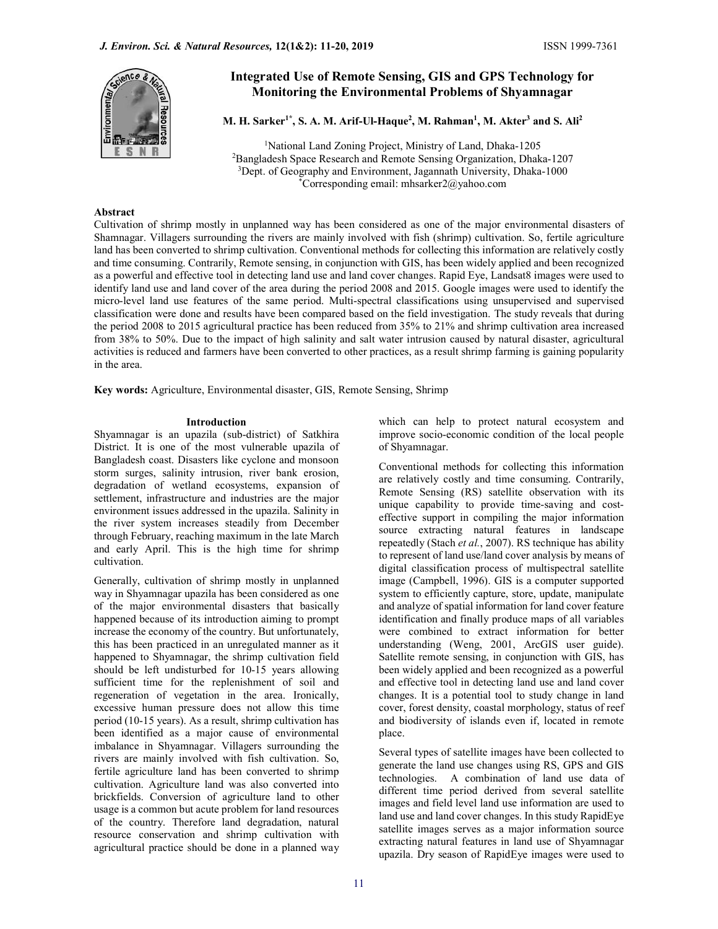

# Integrated Use of Remote Sensing, GIS and GPS Technology for Monitoring the Environmental Problems of Shyamnagar

M. H. Sarker<sup>1\*</sup>, S. A. M. Arif-Ul-Haque<sup>2</sup>, M. Rahman<sup>1</sup>, M. Akter<sup>3</sup> and S. Ali<sup>2</sup>

<sup>1</sup>National Land Zoning Project, Ministry of Land, Dhaka-1205<br><sup>2</sup>Bangladesh Space Research and Remote Sensing Organization, Dhaka-1207<br><sup>3</sup>Dept. of Geography and Environment, Jagannath University, Dhaka-1000<br><sup>8</sup>Correspondi

# Abstract

Cultivation of shrimp mostly in unplanned way has been considered as one of the major environmental disasters of Shamnagar. Villagers surrounding the rivers are mainly involved with fish (shrimp) cultivation. So, fertile agriculture land has been converted to shrimp cultivation. Conventional methods for collecting this information are relatively costly and time consuming. Contrarily, Remote sensing, in conjunction with GIS, has been widely applied and been recognized as a powerful and effective tool in detecting land use and land cover changes. Rapid Eye, Landsat8 images were used to identify land use and land cover of the area during the period 2008 and 2015. Google images were used to identify the micro-level land use features of the same period. Multi-spectral classifications using unsupervised and supervised classification were done and results have been compared based on the field investigation. The study reveals that during the period 2008 to 2015 agricultural practice has been reduced from 35% to 21% and shrimp cultivation area increased from 38% to 50%. Due to the impact of high salinity and salt water intrusion caused by natural disaster, agricultural activities is reduced and farmers have been converted to other practices, as a result shrimp farming is gaining popularity in the area.

Key words: Agriculture, Environmental disaster, GIS, Remote Sensing, Shrimp

### Introduction

Shyamnagar is an upazila (sub-district) of Satkhira District. It is one of the most vulnerable upazila of Bangladesh coast. Disasters like cyclone and monsoon storm surges, salinity intrusion, river bank erosion, degradation of wetland ecosystems, expansion of settlement, infrastructure and industries are the major environment issues addressed in the upazila. Salinity in the river system increases steadily from December through February, reaching maximum in the late March and early April. This is the high time for shrimp cultivation.

Generally, cultivation of shrimp mostly in unplanned way in Shyamnagar upazila has been considered as one of the major environmental disasters that basically happened because of its introduction aiming to prompt increase the economy of the country. But unfortunately, this has been practiced in an unregulated manner as it happened to Shyamnagar, the shrimp cultivation field should be left undisturbed for 10-15 years allowing sufficient time for the replenishment of soil and regeneration of vegetation in the area. Ironically, excessive human pressure does not allow this time period (10-15 years). As a result, shrimp cultivation has been identified as a major cause of environmental imbalance in Shyamnagar. Villagers surrounding the rivers are mainly involved with fish cultivation. So, fertile agriculture land has been converted to shrimp cultivation. Agriculture land was also converted into brickfields. Conversion of agriculture land to other usage is a common but acute problem for land resources of the country. Therefore land degradation, natural resource conservation and shrimp cultivation with agricultural practice should be done in a planned way which can help to protect natural ecosystem and improve socio-economic condition of the local people of Shyamnagar.

Conventional methods for collecting this information are relatively costly and time consuming. Contrarily, Remote Sensing (RS) satellite observation with its unique capability to provide time-saving and costeffective support in compiling the major information source extracting natural features in landscape repeatedly (Stach et al., 2007). RS technique has ability to represent of land use/land cover analysis by means of digital classification process of multispectral satellite image (Campbell, 1996). GIS is a computer supported system to efficiently capture, store, update, manipulate and analyze of spatial information for land cover feature identification and finally produce maps of all variables were combined to extract information for better understanding (Weng, 2001, ArcGIS user guide). Satellite remote sensing, in conjunction with GIS, has been widely applied and been recognized as a powerful and effective tool in detecting land use and land cover changes. It is a potential tool to study change in land cover, forest density, coastal morphology, status of reef and biodiversity of islands even if, located in remote place.

Several types of satellite images have been collected to generate the land use changes using RS, GPS and GIS technologies. A combination of land use data of different time period derived from several satellite images and field level land use information are used to land use and land cover changes. In this study RapidEye satellite images serves as a major information source extracting natural features in land use of Shyamnagar upazila. Dry season of RapidEye images were used to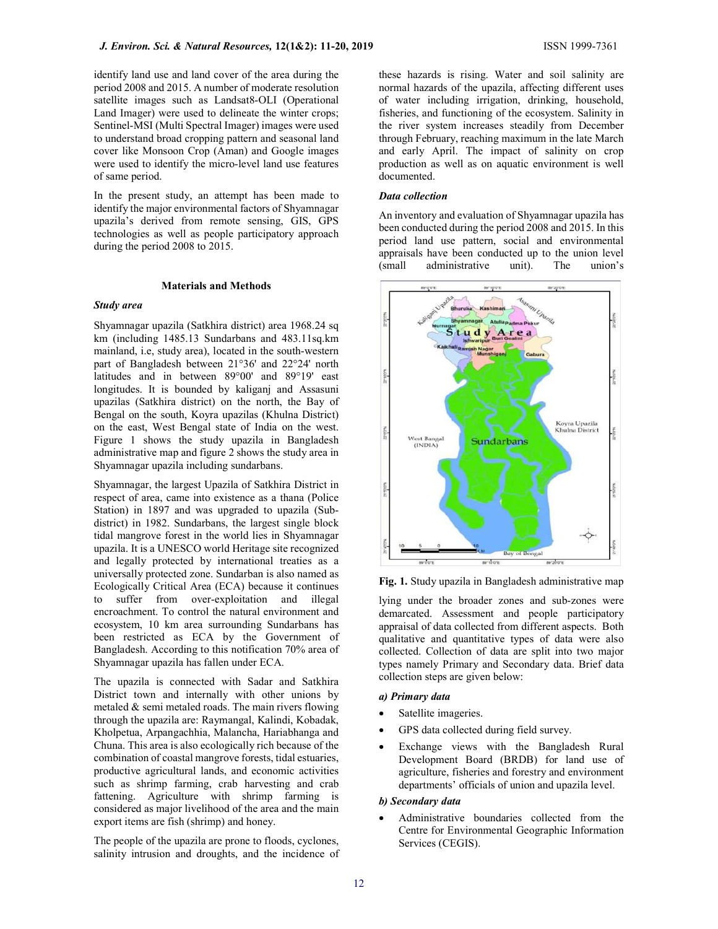identify land use and land cover of the area during the period 2008 and 2015. A number of moderate resolution satellite images such as Landsat8-OLI (Operational Land Imager) were used to delineate the winter crops; Sentinel-MSI (Multi Spectral Imager) images were used to understand broad cropping pattern and seasonal land cover like Monsoon Crop (Aman) and Google images were used to identify the micro-level land use features of same period.

In the present study, an attempt has been made to identify the major environmental factors of Shyamnagar upazila's derived from remote sensing, GIS, GPS technologies as well as people participatory approach during the period 2008 to 2015.

### Materials and Methods

### Study area

Shyamnagar upazila (Satkhira district) area 1968.24 sq km (including 1485.13 Sundarbans and 483.11sq.km mainland, i.e, study area), located in the south-western part of Bangladesh between 21°36' and 22°24' north latitudes and in between 89°00' and 89°19' east longitudes. It is bounded by kaliganj and Assasuni upazilas (Satkhira district) on the north, the Bay of Bengal on the south, Koyra upazilas (Khulna District) on the east, West Bengal state of India on the west. Figure 1 shows the study upazila in Bangladesh administrative map and figure 2 shows the study area in Shyamnagar upazila including sundarbans.

Shyamnagar, the largest Upazila of Satkhira District in respect of area, came into existence as a thana (Police Station) in 1897 and was upgraded to upazila (Subdistrict) in 1982. Sundarbans, the largest single block tidal mangrove forest in the world lies in Shyamnagar upazila. It is a UNESCO world Heritage site recognized and legally protected by international treaties as a universally protected zone. Sundarban is also named as Ecologically Critical Area (ECA) because it continues to suffer from over-exploitation and illegal encroachment. To control the natural environment and ecosystem, 10 km area surrounding Sundarbans has been restricted as ECA by the Government of Bangladesh. According to this notification 70% area of Shyamnagar upazila has fallen under ECA.

The upazila is connected with Sadar and Satkhira District town and internally with other unions by metaled & semi metaled roads. The main rivers flowing through the upazila are: Raymangal, Kalindi, Kobadak, Kholpetua, Arpangachhia, Malancha, Hariabhanga and Chuna. This area is also ecologically rich because of the combination of coastal mangrove forests, tidal estuaries, productive agricultural lands, and economic activities such as shrimp farming, crab harvesting and crab fattening. Agriculture with shrimp farming is considered as major livelihood of the area and the main export items are fish (shrimp) and honey.

The people of the upazila are prone to floods, cyclones, salinity intrusion and droughts, and the incidence of these hazards is rising. Water and soil salinity are normal hazards of the upazila, affecting different uses of water including irrigation, drinking, household, fisheries, and functioning of the ecosystem. Salinity in the river system increases steadily from December through February, reaching maximum in the late March and early April. The impact of salinity on crop production as well as on aquatic environment is well documented.

### Data collection

An inventory and evaluation of Shyamnagar upazila has been conducted during the period 2008 and 2015. In this period land use pattern, social and environmental appraisals have been conducted up to the union level (small administrative unit). The union's



Fig. 1. Study upazila in Bangladesh administrative map

lying under the broader zones and sub-zones were demarcated. Assessment and people participatory appraisal of data collected from different aspects. Both qualitative and quantitative types of data were also collected. Collection of data are split into two major types namely Primary and Secondary data. Brief data collection steps are given below:

### a) Primary data

### Satellite imageries.

- GPS data collected during field survey.
- Exchange views with the Bangladesh Rural Development Board (BRDB) for land use of agriculture, fisheries and forestry and environment departments' officials of union and upazila level.

# b) Secondary data

 Administrative boundaries collected from the Centre for Environmental Geographic Information Services (CEGIS).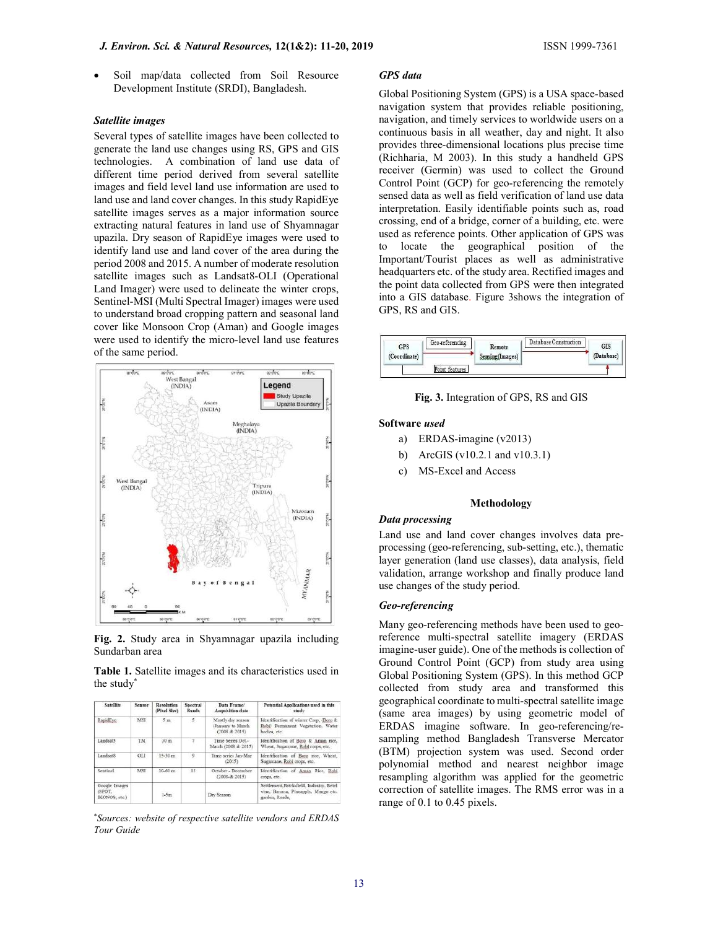Soil map/data collected from Soil Resource Development Institute (SRDI), Bangladesh.

#### Satellite images

Several types of satellite images have been collected to generate the land use changes using RS, GPS and GIS technologies. A combination of land use data of different time period derived from several satellite images and field level land use information are used to land use and land cover changes. In this study RapidEye satellite images serves as a major information source extracting natural features in land use of Shyamnagar upazila. Dry season of RapidEye images were used to identify land use and land cover of the area during the period 2008 and 2015. A number of moderate resolution satellite images such as Landsat8-OLI (Operational Land Imager) were used to delineate the winter crops, Sentinel-MSI (Multi Spectral Imager) images were used to understand broad cropping pattern and seasonal land cover like Monsoon Crop (Aman) and Google images were used to identify the micro-level land use features of the same period.



Fig. 2. Study area in Shyamnagar upazila including Sundarban area

Table 1. Satellite images and its characteristics used in the study\*

| <b>Satellite</b>                         | Sensor     | Resolution<br>(Pixel Size) |    | Data Frame<br>Aequisition date                           | Potential Applications used in this<br>study<br>Identification of winter Crop. (Boro &<br>Robi) Permanent Vegetation, Water<br>bodies, etc. |  |  |
|------------------------------------------|------------|----------------------------|----|----------------------------------------------------------|---------------------------------------------------------------------------------------------------------------------------------------------|--|--|
| RapidEve<br>MSE                          |            | 5m                         | 5. | Mostly dry season<br>(January to March)<br>(2008 & 2015) |                                                                                                                                             |  |  |
| Landsat5                                 | TM         | 30 <sub>2</sub>            | 7. | Time Series Oct.<br>March (2008 & 2015)                  | Identification of Boro & Aman rice,<br>Wheat, Sugarcane, Robi crops, etc.                                                                   |  |  |
| Landsat <sub>8</sub>                     | <b>OLI</b> | $15-30$ m                  | 9  | Time series Jan-Mar<br>(2015)                            | Identification of Boro rice, Wheat,<br>Sugarcane, Robi crops, etc.                                                                          |  |  |
| Sentinel                                 | MSE        | $10-60$ m                  | 13 | October - December<br>$(2008 - 8; 2015)$                 | Identification of Aman Rice, Robi<br>crops, etc.                                                                                            |  |  |
| Google Images<br>(SPOT.<br>[KONOS, etc.] |            | $1-5m$                     |    | Dry Season                                               | Settlement, Brick-field, Industry, Betel<br>vine, Banana, Pineapple, Mango etc.<br>garden, Roads.                                           |  |  |

\*Sources: website of respective satellite vendors and ERDAS Tour Guide

### GPS data

Global Positioning System (GPS) is a USA space-based navigation system that provides reliable positioning, navigation, and timely services to worldwide users on a continuous basis in all weather, day and night. It also provides three-dimensional locations plus precise time (Richharia, M 2003). In this study a handheld GPS receiver (Germin) was used to collect the Ground Control Point (GCP) for geo-referencing the remotely sensed data as well as field verification of land use data interpretation. Easily identifiable points such as, road crossing, end of a bridge, corner of a building, etc. were used as reference points. Other application of GPS was to locate the geographical position of the Important/Tourist places as well as administrative headquarters etc. of the study area. Rectified images and the point data collected from GPS were then integrated into a GIS database. Figure 3shows the integration of GPS, RS and GIS.



Fig. 3. Integration of GPS, RS and GIS

#### Software used

- a) ERDAS-imagine (v2013)
- b) ArcGIS (v10.2.1 and v10.3.1)
- c) MS-Excel and Access

#### Methodology

### Data processing

Land use and land cover changes involves data preprocessing (geo-referencing, sub-setting, etc.), thematic layer generation (land use classes), data analysis, field validation, arrange workshop and finally produce land use changes of the study period.

### Geo-referencing

Many geo-referencing methods have been used to georeference multi-spectral satellite imagery (ERDAS imagine-user guide). One of the methods is collection of Ground Control Point (GCP) from study area using Global Positioning System (GPS). In this method GCP collected from study area and transformed this geographical coordinate to multi-spectral satellite image (same area images) by using geometric model of ERDAS imagine software. In geo-referencing/resampling method Bangladesh Transverse Mercator (BTM) projection system was used. Second order polynomial method and nearest neighbor image resampling algorithm was applied for the geometric correction of satellite images. The RMS error was in a range of 0.1 to 0.45 pixels.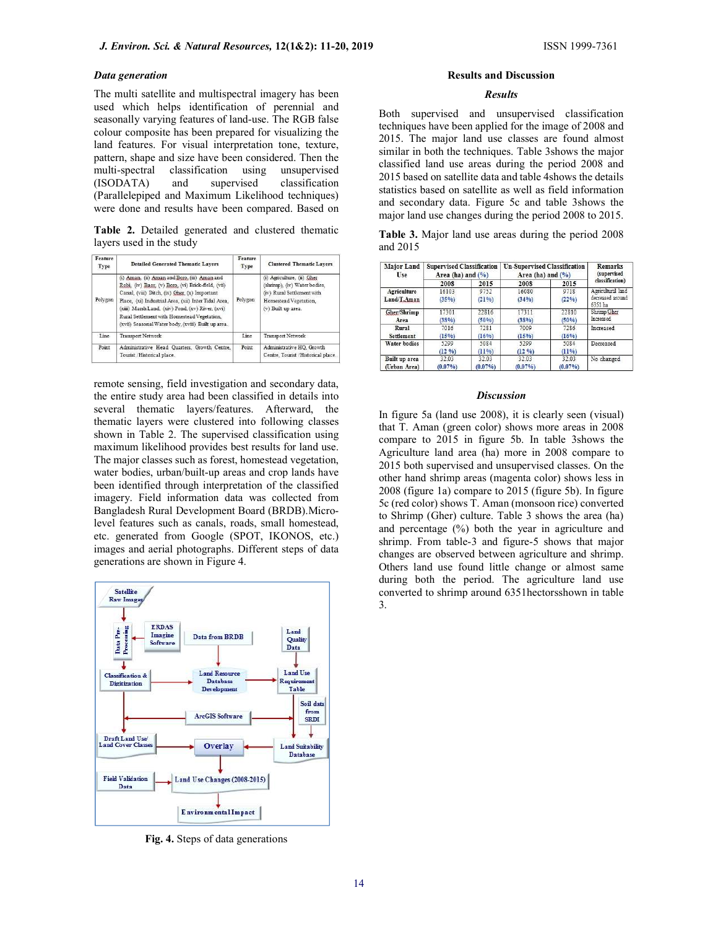### Data generation

The multi satellite and multispectral imagery has been used which helps identification of perennial and seasonally varying features of land-use. The RGB false colour composite has been prepared for visualizing the land features. For visual interpretation tone, texture, pattern, shape and size have been considered. Then the multi-spectral classification using unsupervised (ISODATA) and supervised classification (Parallelepiped and Maximum Likelihood techniques) were done and results have been compared. Based on

Table 2. Detailed generated and clustered thematic layers used in the study

| Feature<br>Type | <b>Detailed Generated Thematic Lavers</b>                                                                                                                                                                                                                                                                                                                            | Feature<br>Type | <b>Clustered Thematic Lavers</b>                                                                                                        |
|-----------------|----------------------------------------------------------------------------------------------------------------------------------------------------------------------------------------------------------------------------------------------------------------------------------------------------------------------------------------------------------------------|-----------------|-----------------------------------------------------------------------------------------------------------------------------------------|
| Polygon         | (i) Aman. (ii) Aman and Boro, (iii) Aman and<br>Robi. (iv) Baor. (v) Boro. (vi) Brick-field. (vii)<br>Canal. (viii) Ditch. (ix) Gher. (x) Important<br>Place, (xi) Industrial Area, (xii) Inter Tidal Area,<br>(xiii) Marsh Land, (xiv) Pond, (xv) River, (xvi)<br>Rural Settlement with Homestead Vegetation.<br>(xvii) Seasonal Water body, (xviii) Built up area. | Polygon         | (i) Agriculture, (ii) Gher<br>(shrimp), (iv) Water bodies,<br>(iv) Rural Settlement with<br>Homestead Vegetation,<br>(v) Built up area. |
| Line            | Transport Network                                                                                                                                                                                                                                                                                                                                                    | Line            | Transport Network                                                                                                                       |
| Point           | Administrative Head Quarters, Growth Centre,<br>Tourist /Historical place.                                                                                                                                                                                                                                                                                           | Point           | Administrative HO. Growth<br>Centre, Tourist / Historical place.                                                                        |

remote sensing, field investigation and secondary data, the entire study area had been classified in details into several thematic layers/features. Afterward, the thematic layers were clustered into following classes shown in Table 2. The supervised classification using maximum likelihood provides best results for land use. The major classes such as forest, homestead vegetation, water bodies, urban/built-up areas and crop lands have been identified through interpretation of the classified imagery. Field information data was collected from Bangladesh Rural Development Board (BRDB).Microlevel features such as canals, roads, small homestead, etc. generated from Google (SPOT, IKONOS, etc.) images and aerial photographs. Different steps of data generations are shown in Figure 4.



Fig. 4. Steps of data generations

### Results and Discussion

#### Results

Both supervised and unsupervised classification techniques have been applied for the image of 2008 and 2015. The major land use classes are found almost similar in both the techniques. Table 3shows the major classified land use areas during the period 2008 and 2015 based on satellite data and table 4shows the details statistics based on satellite as well as field information and secondary data. Figure 5c and table 3shows the major land use changes during the period 2008 to 2015.

| Table 3. Major land use areas during the period 2008 |  |  |  |  |
|------------------------------------------------------|--|--|--|--|
| and 2015                                             |  |  |  |  |

| Major Land<br>Use | <b>Supervised Classification</b><br>Area (ha) and $(\%$ |            | <b>Un-Supervised Classification</b><br>Area (ha) and $(\%$ ) | <b>Remarks</b><br>(supervised |                             |  |
|-------------------|---------------------------------------------------------|------------|--------------------------------------------------------------|-------------------------------|-----------------------------|--|
|                   | 2008                                                    | 2015       | 2008                                                         | 2015                          | classification)             |  |
| Agriculture       | 16103                                                   | 9752       | 16080                                                        | 9718                          | Agricultural land           |  |
| Land/T.Aman       | (35%)                                                   | (21%)      | (34%)                                                        | (22%)                         | decreased around<br>6351 ha |  |
| Gher/Shrimp       | 17301                                                   | 22816      | 17311                                                        | 22810                         | Shrimp Gher                 |  |
| Area              | (38%)                                                   | (50%)      | (38%)                                                        | (50%)                         | <b>Increased</b>            |  |
| Rural             | 7016                                                    | 7281       | 7009                                                         | 7286                          | Increased                   |  |
| Settlement        | (15%)                                                   | (16%)      | (15%)                                                        | (16%)                         |                             |  |
| Water bodies      | 5299                                                    | 5084       | 5299                                                         | 5084                          | Decreased                   |  |
|                   | (12, 96)                                                | (11%)      | (12, 96)                                                     | (11%)                         |                             |  |
| Built up area     | 32.03                                                   | 32.03      | 32.03                                                        | 32.03                         | No changed                  |  |
| (Urban Area)      | (0.07%)                                                 | $(0.07\%)$ | $(0.07\%)$                                                   | (0.07%)                       |                             |  |

#### **Discussion**

In figure 5a (land use 2008), it is clearly seen (visual) that T. Aman (green color) shows more areas in 2008 compare to 2015 in figure 5b. In table 3shows the Agriculture land area (ha) more in 2008 compare to 2015 both supervised and unsupervised classes. On the other hand shrimp areas (magenta color) shows less in 2008 (figure 1a) compare to 2015 (figure 5b). In figure 5c (red color) shows T. Aman (monsoon rice) converted to Shrimp (Gher) culture. Table 3 shows the area (ha) and percentage (%) both the year in agriculture and shrimp. From table-3 and figure-5 shows that major changes are observed between agriculture and shrimp. Others land use found little change or almost same during both the period. The agriculture land use converted to shrimp around 6351hectorsshown in table 3.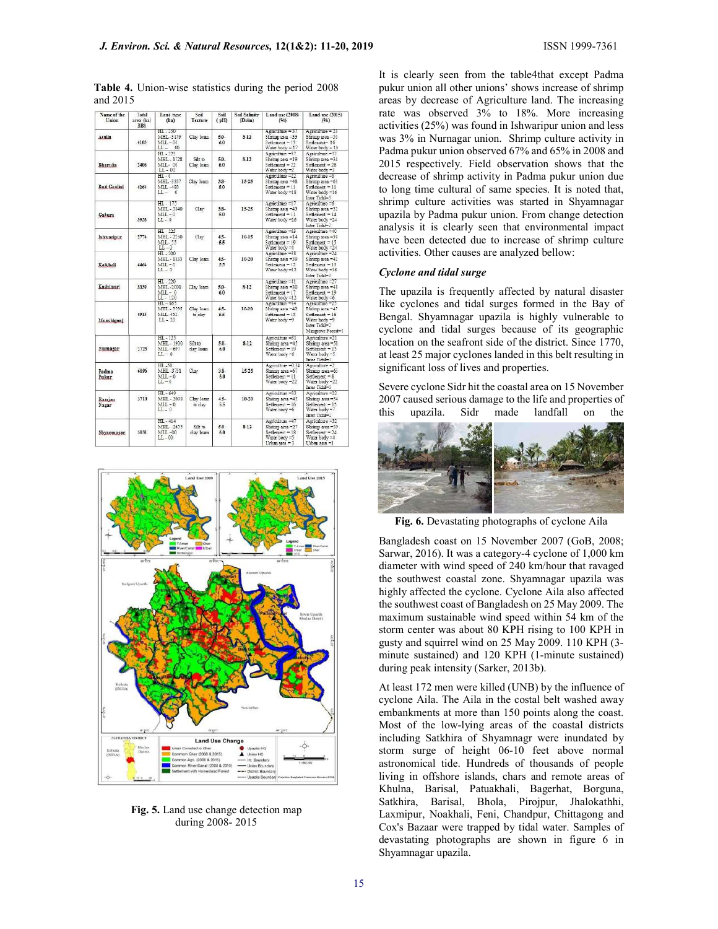| Name of the<br>Union | Total<br>area (ha)<br><b>BBS</b> | Land type<br>(ha)                                   | Soil<br>Texture       | Soil<br>(Hq)   | Soil Salinity<br>(Ds/m) | Land use (2008)<br>(96)                                                                  | Land use (2015)<br>(9h)                                                                                        |
|----------------------|----------------------------------|-----------------------------------------------------|-----------------------|----------------|-------------------------|------------------------------------------------------------------------------------------|----------------------------------------------------------------------------------------------------------------|
| Atulia               | 4103                             | HL-250<br>MHL-3179<br>$ML-00$<br>$L -$<br>00        | Clay loan             | $5.0 -$<br>6.0 | $8-12$                  | Agriculture $=$ 37<br>Shrimp area =33<br>$Setting = 13$<br>Water body = 17               | Agriculture = 23<br>Shrimp area =50<br>Settlement= 16<br>Water $body = 10$                                     |
| Bhurulia             | 2406                             | $HL - 223$<br>MHL-1728<br>MIL-00<br>LL - 00         | Silt to<br>Clay loan. | $5.0 -$<br>6.0 | $8-12$                  | Agriculture = 57<br>Shrimp area =19<br>Set<br>Water body =2                              | Agriculture =37<br>Shomp area $-34$<br>$Set$ thement = 26<br>Water body =3                                     |
| Buri Goalini         | 4264                             | $HL - 0$<br>MHL-3357<br>MLL-480<br>$LL - 0$         | Clay loam             | $3.3 -$<br>5.0 | 15-25                   | Agriculture =22<br>Shrimp area =48<br>$Set$ $11$<br>Water body =18                       | Agriculture =6<br>Shrimp area =63<br>$Set$ <i>derment</i> = $11$<br>Water body =16<br>Inter Tidal=3            |
| Gabura               | 3938                             | HL - 175<br>MHL - 3840<br>$ML-0$<br>$L - 0$         | Clay                  | $3.8-$<br>50   | 15-25                   | Agriculture =17<br>Shrimp area =45<br>Settlement = 11<br>Water body =26                  | Agriculture =6<br>Shrimp area =32<br>Settlement = 14<br>Water body =24<br>Inter Tidal=3                        |
| Ishwaripur           | 2774                             | HL - 525<br>MHL-2250<br>$ML-15$<br>$LL - 0$         | Clay                  | $4.5 -$<br>5.5 | $10-15$                 | Agriculture =63<br>Shrimp area =14<br>$Setting = 19$<br>Water body =4                    | Agriculture =40<br>Shnmp area =39<br>$Set$ flement = $15$<br>Water body =24                                    |
| Kaikhali             | 4464                             | HL-200<br>MHL-1835<br>$ML - 0$<br>$L - 0$           | Clay loan.            | $4.5 -$<br>5.5 | 10-20                   | Agriculture = 38<br>Shrimp area -39<br>Settlement = 12<br>Water body =12                 | Agriculture = 24<br>Shrimp area -42<br>Settlement = 15<br>Water body =16<br>Inter Tidal-3                      |
| Kashimari            | 3339                             | $HL - 220$<br>MHL-2000<br>$ML - 0$<br>LL - 120      | Clay loam             | 5.0-<br>6.0    | $8-12$                  | Agriculture =41<br>Shrimp area =30<br>Settlement = $17$<br>Water body =12                | Agriculture = 27<br>Shnmp area =48<br>$SetHement = 19$<br>Water body =6                                        |
| Munshiganj           | 4913                             | $HL - 665$<br>MHL - 3795<br>$ML-452$<br>$L - 20$    | Clay loam<br>to day   | $4.5 -$<br>5.5 | $10 - 20$               | Agriculture =34<br>Shrimp area -42<br>Settlement = 15<br>Water body =9                   | Agriculture = 25<br>Shrimp area =47<br>Settlement = 16<br>Water body =9<br>Inter Tidale 2<br>Mangrove Forest-1 |
| Nurnagar             | 2723                             | $HI - 125$<br>MHL - 1900<br>$MLL - 697$<br>$LL - 0$ | Silt to<br>clay loam  | $5.0-$<br>6.0  | $8-12$                  | Agriculture = 31<br>Shrimp area =45<br>Settlement = 19<br>Water body -6                  | Agriculture =21<br>Shrimp area -58<br>Settlement = 15<br>Water body = 5<br>Inter Total=1                       |
| Padma<br>Pukur       | 6096                             | HL .50<br>MHL-3751<br>$MLL - 0$<br>$LL - 0$         | Clay                  | 3.8.<br>5.0    | 15.25                   | Agriculture =0.34<br>Shrimp area -67<br>$Set[degree] = 11$<br>Water body -22             | Asnoulture =2<br>Shrimo area -65<br>$Setting = 8$<br>Water body -22<br>Inter Tidal=3                           |
| Ramian<br>Nagar      | 3710                             | $HI. - 649$<br>MHL - 2098<br>$MIL - 0$<br>$L - 0$   | Clay Joan<br>to clay  | $4.5 -$<br>5.5 | 10-20                   | Agriculture =33<br>Shrimp area =45<br>$Setelement - 16$<br>Water body =6                 | Agriculture = 22<br>Shrimo area =54<br>Settlement = 15<br>Water body =7<br>Inter Tadal-2                       |
| Shyamnagar           | 3031                             | $HL - 414$<br>MHL-2615<br>MLL-00<br>$LL -00$        | Silt to:<br>day loam  | $5.0 -$<br>6.0 | $8 - 12$                | Agriculture =47<br>Shrimp area =27<br>Settlement = 18<br>Water body =5<br>Urban area = 3 | Agriculture =32<br>Shrimp area =39<br>Settlement = 24<br>Water body =4<br>Urban area =1                        |

Table 4. Union-wise statistics during the period 2008 and 2015



Fig. 5. Land use change detection map during 2008- 2015

It is clearly seen from the table4that except Padma pukur union all other unions' shows increase of shrimp areas by decrease of Agriculture land. The increasing rate was observed 3% to 18%. More increasing activities (25%) was found in Ishwaripur union and less was 3% in Nurnagar union. Shrimp culture activity in Padma pukur union observed 67% and 65% in 2008 and 2015 respectively. Field observation shows that the decrease of shrimp activity in Padma pukur union due to long time cultural of same species. It is noted that, shrimp culture activities was started in Shyamnagar upazila by Padma pukur union. From change detection analysis it is clearly seen that environmental impact have been detected due to increase of shrimp culture activities. Other causes are analyzed bellow:

### Cyclone and tidal surge

The upazila is frequently affected by natural disaster like cyclones and tidal surges formed in the Bay of Bengal. Shyamnagar upazila is highly vulnerable to cyclone and tidal surges because of its geographic location on the seafront side of the district. Since 1770, at least 25 major cyclones landed in this belt resulting in significant loss of lives and properties.

Severe cyclone Sidr hit the coastal area on 15 November 2007 caused serious damage to the life and properties of this upazila. Sidr made landfall on the



Fig. 6. Devastating photographs of cyclone Aila

Bangladesh coast on 15 November 2007 (GoB, 2008; Sarwar, 2016). It was a category-4 cyclone of 1,000 km diameter with wind speed of 240 km/hour that ravaged the southwest coastal zone. Shyamnagar upazila was highly affected the cyclone. Cyclone Aila also affected the southwest coast of Bangladesh on 25 May 2009. The maximum sustainable wind speed within 54 km of the storm center was about 80 KPH rising to 100 KPH in gusty and squirrel wind on 25 May 2009. 110 KPH (3 minute sustained) and 120 KPH (1-minute sustained) during peak intensity (Sarker, 2013b).

At least 172 men were killed (UNB) by the influence of cyclone Aila. The Aila in the costal belt washed away embankments at more than 150 points along the coast. Most of the low-lying areas of the coastal districts including Satkhira of Shyamnagr were inundated by storm surge of height 06-10 feet above normal astronomical tide. Hundreds of thousands of people living in offshore islands, chars and remote areas of Khulna, Barisal, Patuakhali, Bagerhat, Borguna, Satkhira, Barisal, Bhola, Pirojpur, Jhalokathhi, Laxmipur, Noakhali, Feni, Chandpur, Chittagong and Cox's Bazaar were trapped by tidal water. Samples of devastating photographs are shown in figure 6 in Shyamnagar upazila.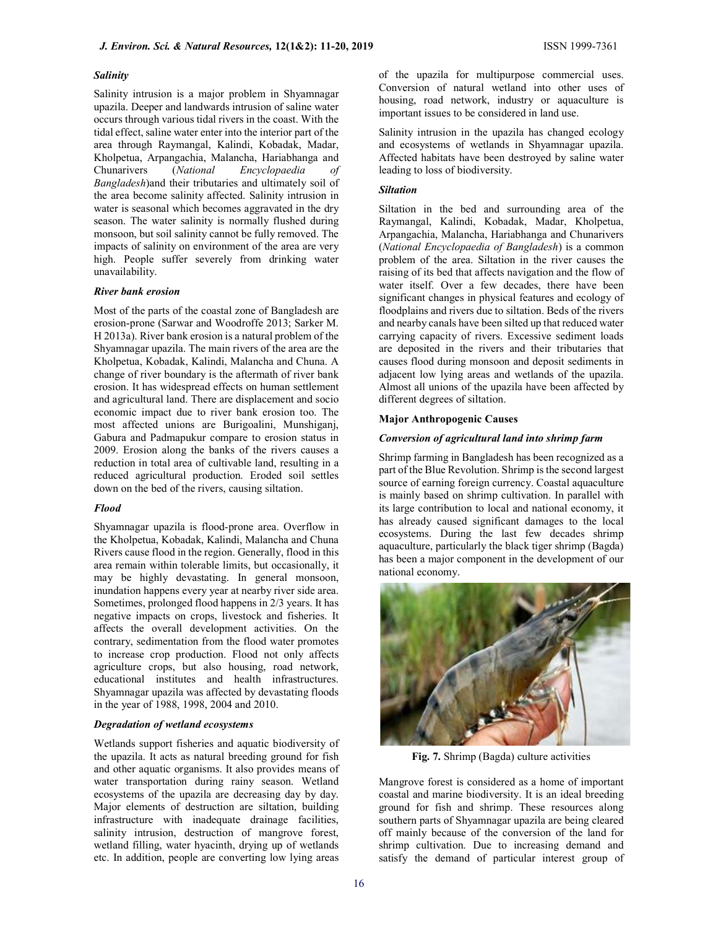### Salinity

Salinity intrusion is a major problem in Shyamnagar upazila. Deeper and landwards intrusion of saline water occurs through various tidal rivers in the coast. With the tidal effect, saline water enter into the interior part of the area through Raymangal, Kalindi, Kobadak, Madar, Kholpetua, Arpangachia, Malancha, Hariabhanga and Chunarivers (National Encyclopaedia of Bangladesh)and their tributaries and ultimately soil of the area become salinity affected. Salinity intrusion in water is seasonal which becomes aggravated in the dry season. The water salinity is normally flushed during monsoon, but soil salinity cannot be fully removed. The impacts of salinity on environment of the area are very high. People suffer severely from drinking water unavailability.

### River bank erosion

Most of the parts of the coastal zone of Bangladesh are erosion-prone (Sarwar and Woodroffe 2013; Sarker M. H 2013a). River bank erosion is a natural problem of the Shyamnagar upazila. The main rivers of the area are the Kholpetua, Kobadak, Kalindi, Malancha and Chuna. A change of river boundary is the aftermath of river bank erosion. It has widespread effects on human settlement and agricultural land. There are displacement and socio economic impact due to river bank erosion too. The most affected unions are Burigoalini, Munshiganj, Gabura and Padmapukur compare to erosion status in 2009. Erosion along the banks of the rivers causes a reduction in total area of cultivable land, resulting in a reduced agricultural production. Eroded soil settles down on the bed of the rivers, causing siltation.

#### Flood

Shyamnagar upazila is flood-prone area. Overflow in the Kholpetua, Kobadak, Kalindi, Malancha and Chuna Rivers cause flood in the region. Generally, flood in this area remain within tolerable limits, but occasionally, it may be highly devastating. In general monsoon, inundation happens every year at nearby river side area. Sometimes, prolonged flood happens in 2/3 years. It has negative impacts on crops, livestock and fisheries. It affects the overall development activities. On the contrary, sedimentation from the flood water promotes to increase crop production. Flood not only affects agriculture crops, but also housing, road network, educational institutes and health infrastructures. Shyamnagar upazila was affected by devastating floods in the year of 1988, 1998, 2004 and 2010.

### Degradation of wetland ecosystems

Wetlands support fisheries and aquatic biodiversity of the upazila. It acts as natural breeding ground for fish and other aquatic organisms. It also provides means of water transportation during rainy season. Wetland ecosystems of the upazila are decreasing day by day. Major elements of destruction are siltation, building infrastructure with inadequate drainage facilities, salinity intrusion, destruction of mangrove forest, wetland filling, water hyacinth, drying up of wetlands etc. In addition, people are converting low lying areas

of the upazila for multipurpose commercial uses. Conversion of natural wetland into other uses of housing, road network, industry or aquaculture is important issues to be considered in land use.

Salinity intrusion in the upazila has changed ecology and ecosystems of wetlands in Shyamnagar upazila. Affected habitats have been destroyed by saline water leading to loss of biodiversity.

### Siltation

Siltation in the bed and surrounding area of the Raymangal, Kalindi, Kobadak, Madar, Kholpetua, Arpangachia, Malancha, Hariabhanga and Chunarivers (National Encyclopaedia of Bangladesh) is a common problem of the area. Siltation in the river causes the raising of its bed that affects navigation and the flow of water itself. Over a few decades, there have been significant changes in physical features and ecology of floodplains and rivers due to siltation. Beds of the rivers and nearby canals have been silted up that reduced water carrying capacity of rivers. Excessive sediment loads are deposited in the rivers and their tributaries that causes flood during monsoon and deposit sediments in adjacent low lying areas and wetlands of the upazila. Almost all unions of the upazila have been affected by different degrees of siltation.

### Major Anthropogenic Causes

#### Conversion of agricultural land into shrimp farm

Shrimp farming in Bangladesh has been recognized as a part of the Blue Revolution. Shrimp is the second largest source of earning foreign currency. Coastal aquaculture is mainly based on shrimp cultivation. In parallel with its large contribution to local and national economy, it has already caused significant damages to the local ecosystems. During the last few decades shrimp aquaculture, particularly the black tiger shrimp (Bagda) has been a major component in the development of our national economy.



Fig. 7. Shrimp (Bagda) culture activities

Mangrove forest is considered as a home of important coastal and marine biodiversity. It is an ideal breeding ground for fish and shrimp. These resources along southern parts of Shyamnagar upazila are being cleared off mainly because of the conversion of the land for shrimp cultivation. Due to increasing demand and satisfy the demand of particular interest group of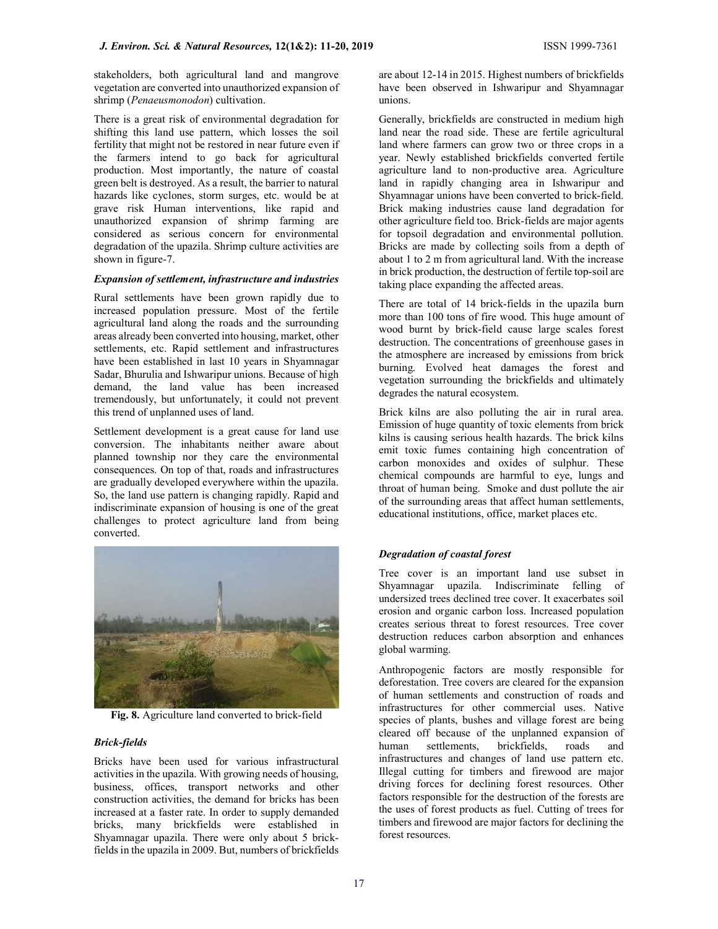stakeholders, both agricultural land and mangrove vegetation are converted into unauthorized expansion of shrimp (Penaeusmonodon) cultivation.

There is a great risk of environmental degradation for shifting this land use pattern, which losses the soil fertility that might not be restored in near future even if the farmers intend to go back for agricultural production. Most importantly, the nature of coastal green belt is destroyed. As a result, the barrier to natural hazards like cyclones, storm surges, etc. would be at grave risk Human interventions, like rapid and unauthorized expansion of shrimp farming are considered as serious concern for environmental degradation of the upazila. Shrimp culture activities are shown in figure-7.

# Expansion of settlement, infrastructure and industries

Rural settlements have been grown rapidly due to increased population pressure. Most of the fertile agricultural land along the roads and the surrounding areas already been converted into housing, market, other settlements, etc. Rapid settlement and infrastructures have been established in last 10 years in Shyamnagar Sadar, Bhurulia and Ishwaripur unions. Because of high demand, the land value has been increased tremendously, but unfortunately, it could not prevent this trend of unplanned uses of land.

Settlement development is a great cause for land use conversion. The inhabitants neither aware about planned township nor they care the environmental consequences. On top of that, roads and infrastructures are gradually developed everywhere within the upazila. So, the land use pattern is changing rapidly. Rapid and indiscriminate expansion of housing is one of the great challenges to protect agriculture land from being converted.



Fig. 8. Agriculture land converted to brick-field

# Brick-fields

Bricks have been used for various infrastructural activities in the upazila. With growing needs of housing, business, offices, transport networks and other construction activities, the demand for bricks has been increased at a faster rate. In order to supply demanded bricks, many brickfields were established in Shyamnagar upazila. There were only about 5 brickfields in the upazila in 2009. But, numbers of brickfields are about 12-14 in 2015. Highest numbers of brickfields have been observed in Ishwaripur and Shyamnagar unions.

Generally, brickfields are constructed in medium high land near the road side. These are fertile agricultural land where farmers can grow two or three crops in a year. Newly established brickfields converted fertile agriculture land to non-productive area. Agriculture land in rapidly changing area in Ishwaripur and Shyamnagar unions have been converted to brick-field. Brick making industries cause land degradation for other agriculture field too. Brick-fields are major agents for topsoil degradation and environmental pollution. Bricks are made by collecting soils from a depth of about 1 to 2 m from agricultural land. With the increase in brick production, the destruction of fertile top-soil are taking place expanding the affected areas.

There are total of 14 brick-fields in the upazila burn more than 100 tons of fire wood. This huge amount of wood burnt by brick-field cause large scales forest destruction. The concentrations of greenhouse gases in the atmosphere are increased by emissions from brick burning. Evolved heat damages the forest and vegetation surrounding the brickfields and ultimately degrades the natural ecosystem.

Brick kilns are also polluting the air in rural area. Emission of huge quantity of toxic elements from brick kilns is causing serious health hazards. The brick kilns emit toxic fumes containing high concentration of carbon monoxides and oxides of sulphur. These chemical compounds are harmful to eye, lungs and throat of human being. Smoke and dust pollute the air of the surrounding areas that affect human settlements, educational institutions, office, market places etc.

# Degradation of coastal forest

Tree cover is an important land use subset in Shyamnagar upazila. Indiscriminate felling of undersized trees declined tree cover. It exacerbates soil erosion and organic carbon loss. Increased population creates serious threat to forest resources. Tree cover destruction reduces carbon absorption and enhances global warming.

Anthropogenic factors are mostly responsible for deforestation. Tree covers are cleared for the expansion of human settlements and construction of roads and infrastructures for other commercial uses. Native species of plants, bushes and village forest are being cleared off because of the unplanned expansion of human settlements, brickfields, roads and infrastructures and changes of land use pattern etc. Illegal cutting for timbers and firewood are major driving forces for declining forest resources. Other factors responsible for the destruction of the forests are the uses of forest products as fuel. Cutting of trees for timbers and firewood are major factors for declining the forest resources.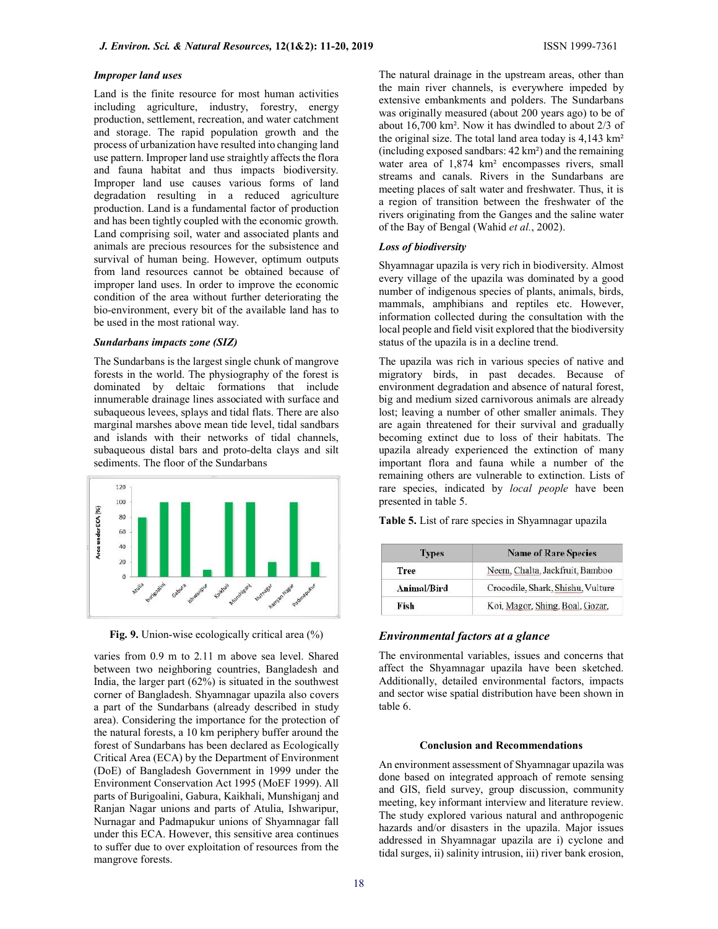Land is the finite resource for most human activities including agriculture, industry, forestry, energy production, settlement, recreation, and water catchment and storage. The rapid population growth and the process of urbanization have resulted into changing land use pattern. Improper land use straightly affects the flora and fauna habitat and thus impacts biodiversity. Improper land use causes various forms of land degradation resulting in a reduced agriculture production. Land is a fundamental factor of production and has been tightly coupled with the economic growth. Land comprising soil, water and associated plants and animals are precious resources for the subsistence and survival of human being. However, optimum outputs from land resources cannot be obtained because of improper land uses. In order to improve the economic condition of the area without further deteriorating the bio-environment, every bit of the available land has to be used in the most rational way.

#### Sundarbans impacts zone (SIZ)

The Sundarbans is the largest single chunk of mangrove forests in the world. The physiography of the forest is dominated by deltaic formations that include innumerable drainage lines associated with surface and subaqueous levees, splays and tidal flats. There are also marginal marshes above mean tide level, tidal sandbars and islands with their networks of tidal channels, subaqueous distal bars and proto-delta clays and silt sediments. The floor of the Sundarbans



Fig. 9. Union-wise ecologically critical area (%)

varies from 0.9 m to 2.11 m above sea level. Shared between two neighboring countries, Bangladesh and India, the larger part (62%) is situated in the southwest corner of Bangladesh. Shyamnagar upazila also covers a part of the Sundarbans (already described in study area). Considering the importance for the protection of the natural forests, a 10 km periphery buffer around the forest of Sundarbans has been declared as Ecologically Critical Area (ECA) by the Department of Environment (DoE) of Bangladesh Government in 1999 under the Environment Conservation Act 1995 (MoEF 1999). All parts of Burigoalini, Gabura, Kaikhali, Munshiganj and Ranjan Nagar unions and parts of Atulia, Ishwaripur, Nurnagar and Padmapukur unions of Shyamnagar fall under this ECA. However, this sensitive area continues to suffer due to over exploitation of resources from the mangrove forests.

The natural drainage in the upstream areas, other than the main river channels, is everywhere impeded by extensive embankments and polders. The Sundarbans was originally measured (about 200 years ago) to be of about 16,700 km². Now it has dwindled to about 2/3 of the original size. The total land area today is 4,143 km² (including exposed sandbars: 42 km²) and the remaining water area of 1,874 km<sup>2</sup> encompasses rivers, small streams and canals. Rivers in the Sundarbans are meeting places of salt water and freshwater. Thus, it is a region of transition between the freshwater of the rivers originating from the Ganges and the saline water of the Bay of Bengal (Wahid et al., 2002).

### Loss of biodiversity

Shyamnagar upazila is very rich in biodiversity. Almost every village of the upazila was dominated by a good number of indigenous species of plants, animals, birds, mammals, amphibians and reptiles etc. However, information collected during the consultation with the local people and field visit explored that the biodiversity status of the upazila is in a decline trend.

The upazila was rich in various species of native and migratory birds, in past decades. Because of environment degradation and absence of natural forest, big and medium sized carnivorous animals are already lost; leaving a number of other smaller animals. They are again threatened for their survival and gradually becoming extinct due to loss of their habitats. The upazila already experienced the extinction of many important flora and fauna while a number of the remaining others are vulnerable to extinction. Lists of rare species, indicated by *local people* have been presented in table 5.

Table 5. List of rare species in Shyamnagar upazila

| <b>Types</b> | <b>Name of Rare Species</b>       |  |  |  |  |
|--------------|-----------------------------------|--|--|--|--|
| <b>Tree</b>  | Neem, Chalta, Jackfruit, Bamboo   |  |  |  |  |
| Animal/Bird  | Crocodile, Shark, Shishu, Vulture |  |  |  |  |
| Fish         | Koi, Magor, Shing, Boal, Gozar,   |  |  |  |  |

### Environmental factors at a glance

The environmental variables, issues and concerns that affect the Shyamnagar upazila have been sketched. Additionally, detailed environmental factors, impacts and sector wise spatial distribution have been shown in table 6.

# Conclusion and Recommendations

An environment assessment of Shyamnagar upazila was done based on integrated approach of remote sensing and GIS, field survey, group discussion, community meeting, key informant interview and literature review. The study explored various natural and anthropogenic hazards and/or disasters in the upazila. Major issues addressed in Shyamnagar upazila are i) cyclone and tidal surges, ii) salinity intrusion, iii) river bank erosion,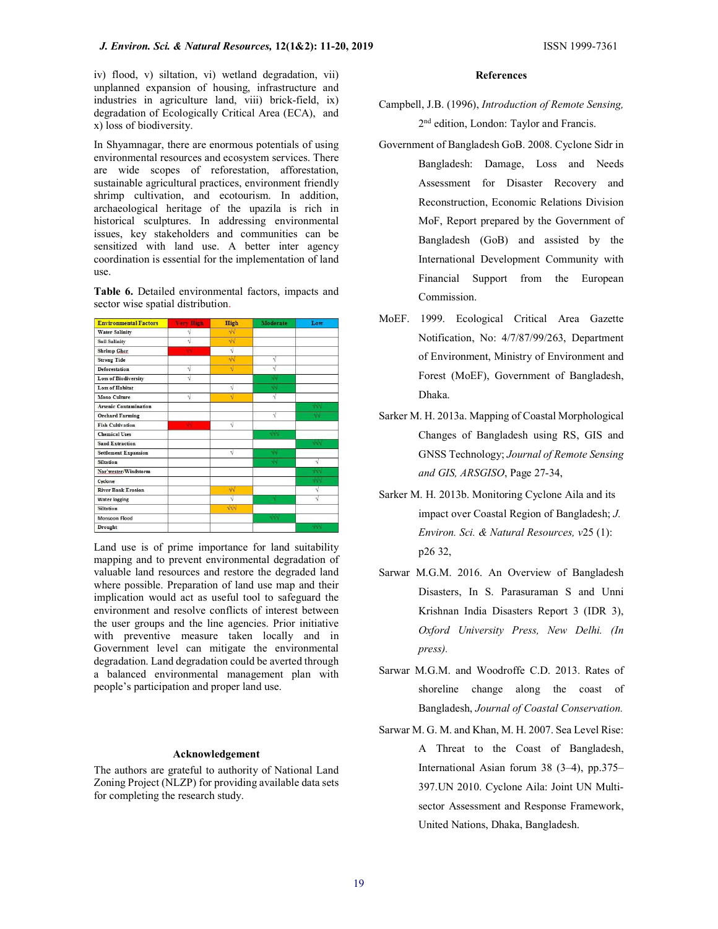iv) flood, v) siltation, vi) wetland degradation, vii) unplanned expansion of housing, infrastructure and industries in agriculture land, viii) brick-field, ix) degradation of Ecologically Critical Area (ECA), and x) loss of biodiversity.

In Shyamnagar, there are enormous potentials of using environmental resources and ecosystem services. There are wide scopes of reforestation, afforestation, sustainable agricultural practices, environment friendly shrimp cultivation, and ecotourism. In addition, archaeological heritage of the upazila is rich in historical sculptures. In addressing environmental issues, key stakeholders and communities can be sensitized with land use. A better inter agency coordination is essential for the implementation of land use.

Table 6. Detailed environmental factors, impacts and sector wise spatial distribution.

| <b>Environmental Factors</b> | <b>Very High</b> | <b>High</b>       | Moderate     | Low               |
|------------------------------|------------------|-------------------|--------------|-------------------|
| <b>Water Salinity</b>        | ν                | $\sqrt{2}$        |              |                   |
| <b>Soil Salinity</b>         | V                | $\sqrt{N}$        |              |                   |
| <b>Shrimp Gher</b>           |                  | $\sqrt{}$         |              |                   |
| <b>Strong Tide</b>           |                  | $\sqrt{v}$        | $\sqrt{}$    |                   |
| Deforestation                | N                | $\sqrt{ }$        | $\sqrt{2}$   |                   |
| <b>Loss of Biodiversity</b>  | Ń                |                   | $\sqrt{N}$   |                   |
| Loss of Habitat              |                  | $\sqrt{ }$        | $\sqrt{N}$   |                   |
| <b>Mono Culture</b>          | $\sqrt{ }$       | $\mathcal{A}$     | $\sqrt{ }$   |                   |
| <b>Arsenic Contamination</b> |                  |                   |              | $\sqrt{2}$        |
| <b>Orchard Farming</b>       |                  |                   | V            | ٧N                |
| <b>Fish Cultivation</b>      | w                | $\sqrt{ }$        |              |                   |
| <b>Chemical Uses</b>         |                  |                   | $\sqrt{v}$   |                   |
| Sand Extraction              |                  |                   |              | $\sqrt{2}$        |
| <b>Settlement Expansion</b>  |                  | $\sqrt{ }$        | $\sqrt{N}$   |                   |
| <b>Siltation</b>             |                  |                   | $\sqrt{v}$   | V                 |
| Nor'wester/Windstorm         |                  |                   |              | $\sqrt{2}$        |
| Cyclone                      |                  |                   |              | $\sqrt{\sqrt{2}}$ |
| <b>River Bank Erosion</b>    |                  | $\sqrt{v}$        |              | $\sqrt{}$         |
| <b>Water logging</b>         |                  | $\sqrt{ }$        | $\mathbf{v}$ | $\sqrt{ }$        |
| <b>Siltation</b>             |                  | $\sqrt{\sqrt{2}}$ |              |                   |
| Monsoon Flood                |                  |                   | $\sqrt{v}$   |                   |
| Drought                      |                  |                   |              | NNN               |

Land use is of prime importance for land suitability mapping and to prevent environmental degradation of valuable land resources and restore the degraded land where possible. Preparation of land use map and their implication would act as useful tool to safeguard the environment and resolve conflicts of interest between the user groups and the line agencies. Prior initiative with preventive measure taken locally and in Government level can mitigate the environmental degradation. Land degradation could be averted through a balanced environmental management plan with people's participation and proper land use.

### Acknowledgement

The authors are grateful to authority of National Land Zoning Project (NLZP) for providing available data sets for completing the research study.

### **References**

- Campbell, J.B. (1996), Introduction of Remote Sensing, 2 nd edition, London: Taylor and Francis.
- Government of Bangladesh GoB. 2008. Cyclone Sidr in Bangladesh: Damage, Loss and Needs Assessment for Disaster Recovery and Reconstruction, Economic Relations Division MoF, Report prepared by the Government of Bangladesh (GoB) and assisted by the International Development Community with Financial Support from the European Commission.
- MoEF. 1999. Ecological Critical Area Gazette Notification, No: 4/7/87/99/263, Department of Environment, Ministry of Environment and Forest (MoEF), Government of Bangladesh, Dhaka.
- Sarker M. H. 2013a. Mapping of Coastal Morphological Changes of Bangladesh using RS, GIS and GNSS Technology; Journal of Remote Sensing and GIS, ARSGISO, Page 27-34,
- Sarker M. H. 2013b. Monitoring Cyclone Aila and its impact over Coastal Region of Bangladesh; J. Environ. Sci. & Natural Resources, v25 (1): p26 32,
- Sarwar M.G.M. 2016. An Overview of Bangladesh Disasters, In S. Parasuraman S and Unni Krishnan India Disasters Report 3 (IDR 3), Oxford University Press, New Delhi. (In press).
- Sarwar M.G.M. and Woodroffe C.D. 2013. Rates of shoreline change along the coast of Bangladesh, Journal of Coastal Conservation.
- Sarwar M. G. M. and Khan, M. H. 2007. Sea Level Rise: A Threat to the Coast of Bangladesh, International Asian forum 38 (3–4), pp.375– 397.UN 2010. Cyclone Aila: Joint UN Multisector Assessment and Response Framework, United Nations, Dhaka, Bangladesh.